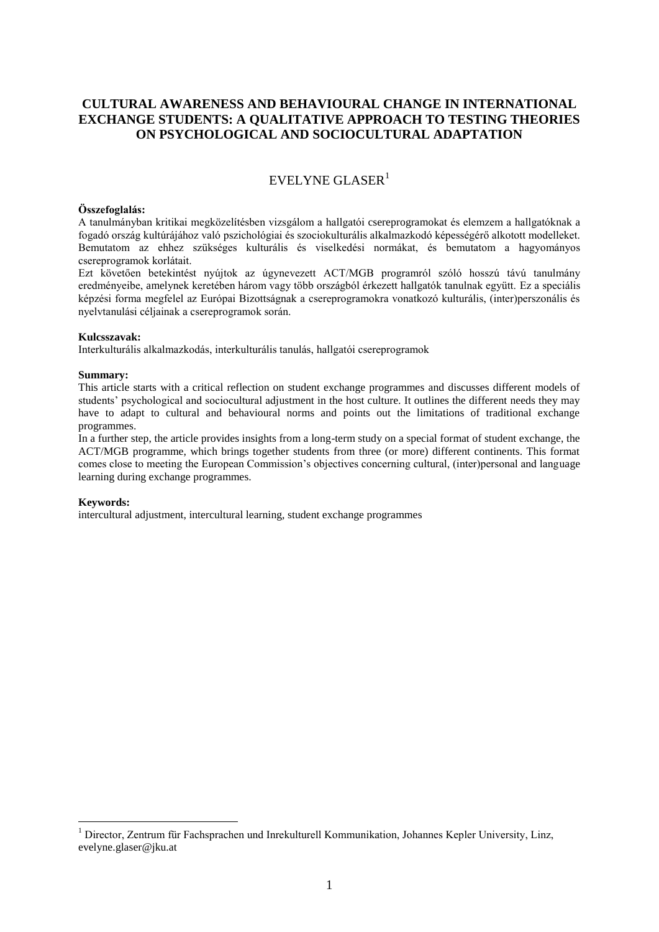## **CULTURAL AWARENESS AND BEHAVIOURAL CHANGE IN INTERNATIONAL EXCHANGE STUDENTS: A QUALITATIVE APPROACH TO TESTING THEORIES ON PSYCHOLOGICAL AND SOCIOCULTURAL ADAPTATION**

# EVELYNE GLASER $1$

### **Összefoglalás:**

A tanulmányban kritikai megközelítésben vizsgálom a hallgatói csereprogramokat és elemzem a hallgatóknak a fogadó ország kultúrájához való pszichológiai és szociokulturális alkalmazkodó képességérő alkotott modelleket. Bemutatom az ehhez szükséges kulturális és viselkedési normákat, és bemutatom a hagyományos csereprogramok korlátait.

Ezt követően betekintést nyújtok az úgynevezett ACT/MGB programról szóló hosszú távú tanulmány eredményeibe, amelynek keretében három vagy több országból érkezett hallgatók tanulnak együtt. Ez a speciális képzési forma megfelel az Európai Bizottságnak a csereprogramokra vonatkozó kulturális, (inter)perszonális és nyelvtanulási céljainak a csereprogramok során.

#### **Kulcsszavak:**

Interkulturális alkalmazkodás, interkulturális tanulás, hallgatói csereprogramok

### **Summary:**

This article starts with a critical reflection on student exchange programmes and discusses different models of students' psychological and sociocultural adjustment in the host culture. It outlines the different needs they may have to adapt to cultural and behavioural norms and points out the limitations of traditional exchange programmes.

In a further step, the article provides insights from a long-term study on a special format of student exchange, the ACT/MGB programme, which brings together students from three (or more) different continents. This format comes close to meeting the European Commission's objectives concerning cultural, (inter)personal and language learning during exchange programmes.

## **Keywords:**

<u>.</u>

intercultural adjustment, intercultural learning, student exchange programmes

<sup>&</sup>lt;sup>1</sup> Director, Zentrum für Fachsprachen und Inrekulturell Kommunikation, Johannes Kepler University, Linz, evelyne.glaser@jku.at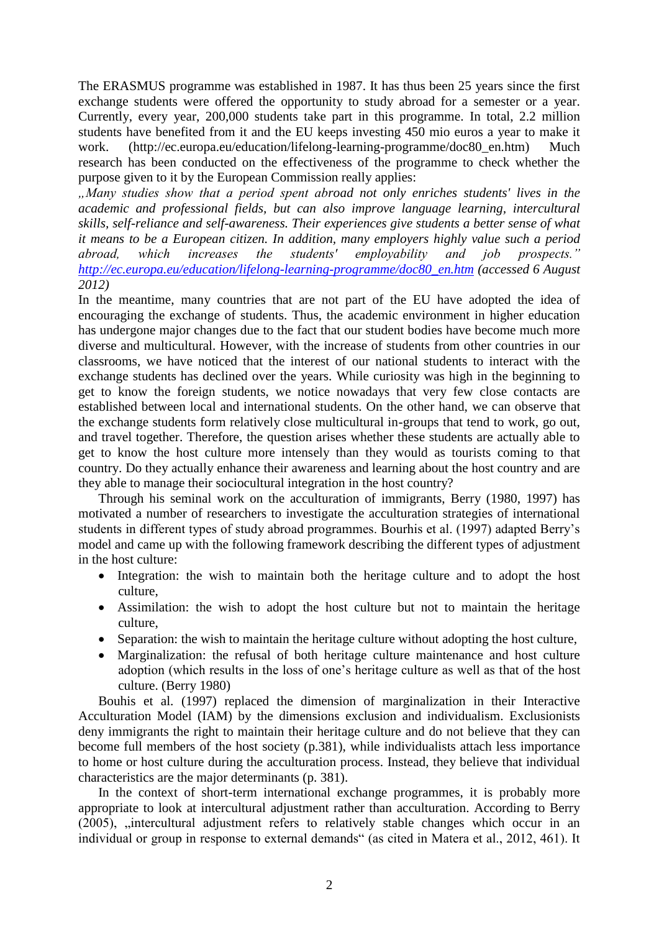The ERASMUS programme was established in 1987. It has thus been 25 years since the first exchange students were offered the opportunity to study abroad for a semester or a year. Currently, every year, 200,000 students take part in this programme. In total, 2.2 million students have benefited from it and the EU keeps investing 450 mio euros a year to make it work. (http://ec.europa.eu/education/lifelong-learning-programme/doc80\_en.htm) Much research has been conducted on the effectiveness of the programme to check whether the purpose given to it by the European Commission really applies:

*"Many studies show that a period spent abroad not only enriches students' lives in the academic and professional fields, but can also improve language learning, intercultural skills, self-reliance and self-awareness. Their experiences give students a better sense of what it means to be a European citizen. In addition, many employers highly value such a period abroad, which increases the students' employability and job prospects." [http://ec.europa.eu/education/lifelong-learning-programme/doc80\\_en.htm](http://ec.europa.eu/education/lifelong-learning-programme/doc80_en.htm) (accessed 6 August 2012)*

In the meantime, many countries that are not part of the EU have adopted the idea of encouraging the exchange of students. Thus, the academic environment in higher education has undergone major changes due to the fact that our student bodies have become much more diverse and multicultural. However, with the increase of students from other countries in our classrooms, we have noticed that the interest of our national students to interact with the exchange students has declined over the years. While curiosity was high in the beginning to get to know the foreign students, we notice nowadays that very few close contacts are established between local and international students. On the other hand, we can observe that the exchange students form relatively close multicultural in-groups that tend to work, go out, and travel together. Therefore, the question arises whether these students are actually able to get to know the host culture more intensely than they would as tourists coming to that country. Do they actually enhance their awareness and learning about the host country and are they able to manage their sociocultural integration in the host country?

Through his seminal work on the acculturation of immigrants, Berry (1980, 1997) has motivated a number of researchers to investigate the acculturation strategies of international students in different types of study abroad programmes. Bourhis et al. (1997) adapted Berry's model and came up with the following framework describing the different types of adjustment in the host culture:

- Integration: the wish to maintain both the heritage culture and to adopt the host culture,
- Assimilation: the wish to adopt the host culture but not to maintain the heritage culture,
- Separation: the wish to maintain the heritage culture without adopting the host culture,
- Marginalization: the refusal of both heritage culture maintenance and host culture adoption (which results in the loss of one's heritage culture as well as that of the host culture. (Berry 1980)

Bouhis et al. (1997) replaced the dimension of marginalization in their Interactive Acculturation Model (IAM) by the dimensions exclusion and individualism. Exclusionists deny immigrants the right to maintain their heritage culture and do not believe that they can become full members of the host society (p.381), while individualists attach less importance to home or host culture during the acculturation process. Instead, they believe that individual characteristics are the major determinants (p. 381).

In the context of short-term international exchange programmes, it is probably more appropriate to look at intercultural adjustment rather than acculturation. According to Berry  $(2005)$ ,  $\sin$  the restriction in an intercultural adjustment refers to relatively stable changes which occur in an individual or group in response to external demands" (as cited in Matera et al., 2012, 461). It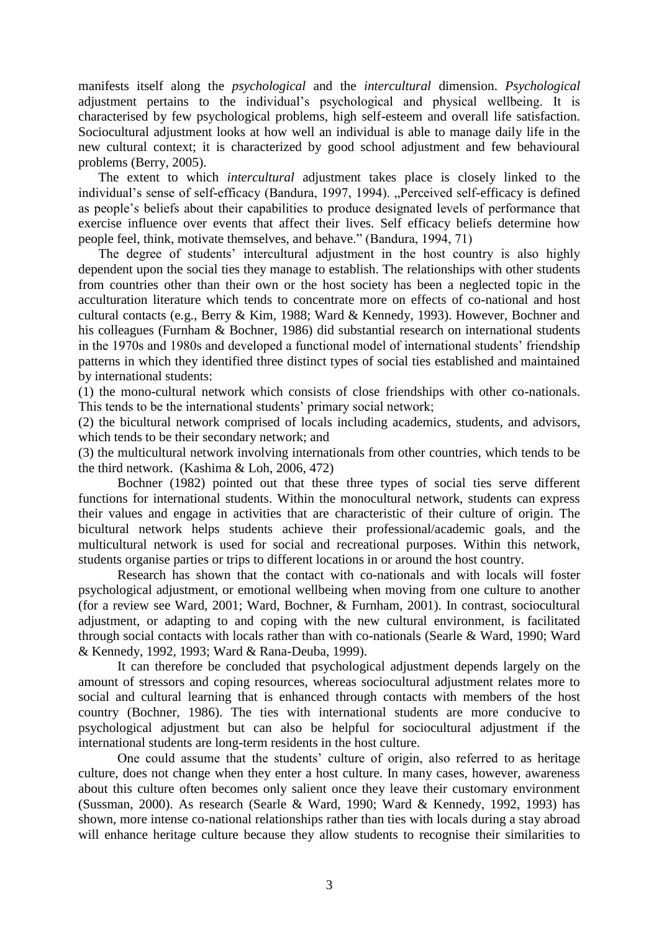manifests itself along the *psychological* and the *intercultural* dimension. *Psychological* adjustment pertains to the individual's psychological and physical wellbeing. It is characterised by few psychological problems, high self-esteem and overall life satisfaction. Sociocultural adjustment looks at how well an individual is able to manage daily life in the new cultural context; it is characterized by good school adjustment and few behavioural problems (Berry, 2005).

The extent to which *intercultural* adjustment takes place is closely linked to the individual's sense of self-efficacy (Bandura, 1997, 1994). "Perceived self-efficacy is defined as people's beliefs about their capabilities to produce designated levels of performance that exercise influence over events that affect their lives. Self efficacy beliefs determine how people feel, think, motivate themselves, and behave." (Bandura, 1994, 71)

The degree of students' intercultural adjustment in the host country is also highly dependent upon the social ties they manage to establish. The relationships with other students from countries other than their own or the host society has been a neglected topic in the acculturation literature which tends to concentrate more on effects of co-national and host cultural contacts (e.g., Berry & Kim, 1988; Ward & Kennedy, 1993). However, Bochner and his colleagues (Furnham & Bochner, 1986) did substantial research on international students in the 1970s and 1980s and developed a functional model of international students' friendship patterns in which they identified three distinct types of social ties established and maintained by international students:

(1) the mono-cultural network which consists of close friendships with other co-nationals. This tends to be the international students' primary social network;

(2) the bicultural network comprised of locals including academics, students, and advisors, which tends to be their secondary network; and

(3) the multicultural network involving internationals from other countries, which tends to be the third network. (Kashima & Loh, 2006, 472)

Bochner (1982) pointed out that these three types of social ties serve different functions for international students. Within the monocultural network, students can express their values and engage in activities that are characteristic of their culture of origin. The bicultural network helps students achieve their professional/academic goals, and the multicultural network is used for social and recreational purposes. Within this network, students organise parties or trips to different locations in or around the host country.

Research has shown that the contact with co-nationals and with locals will foster psychological adjustment, or emotional wellbeing when moving from one culture to another (for a review see Ward, 2001; Ward, Bochner, & Furnham, 2001). In contrast, sociocultural adjustment, or adapting to and coping with the new cultural environment, is facilitated through social contacts with locals rather than with co-nationals (Searle & Ward, 1990; Ward & Kennedy, 1992, 1993; Ward & Rana-Deuba, 1999).

It can therefore be concluded that psychological adjustment depends largely on the amount of stressors and coping resources, whereas sociocultural adjustment relates more to social and cultural learning that is enhanced through contacts with members of the host country (Bochner, 1986). The ties with international students are more conducive to psychological adjustment but can also be helpful for sociocultural adjustment if the international students are long-term residents in the host culture.

One could assume that the students' culture of origin, also referred to as heritage culture, does not change when they enter a host culture. In many cases, however, awareness about this culture often becomes only salient once they leave their customary environment (Sussman, 2000). As research (Searle & Ward, 1990; Ward & Kennedy, 1992, 1993) has shown, more intense co-national relationships rather than ties with locals during a stay abroad will enhance heritage culture because they allow students to recognise their similarities to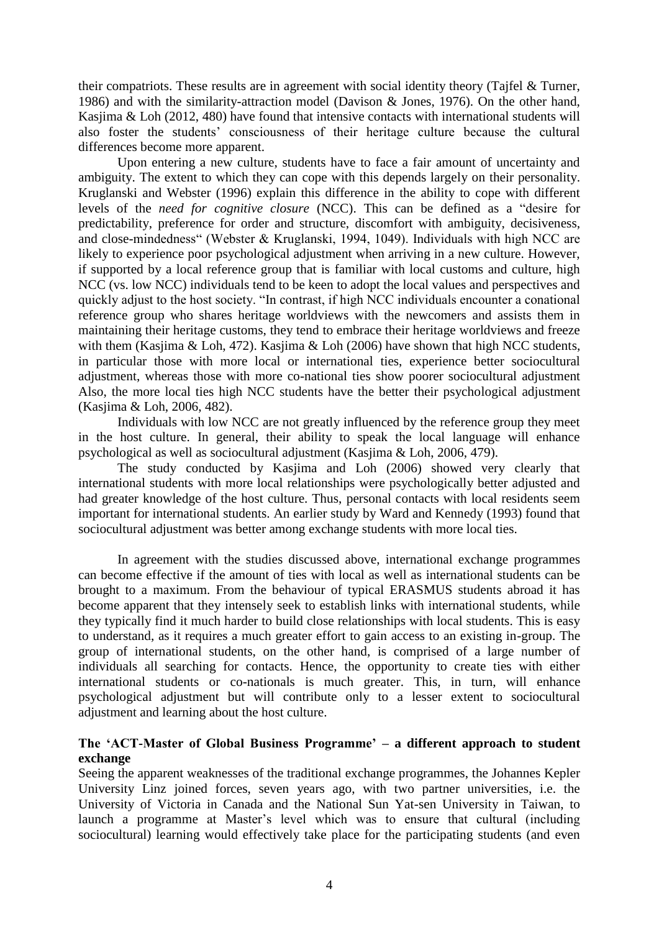their compatriots. These results are in agreement with social identity theory (Tajfel & Turner, 1986) and with the similarity-attraction model (Davison & Jones, 1976). On the other hand, Kasjima & Loh (2012, 480) have found that intensive contacts with international students will also foster the students' consciousness of their heritage culture because the cultural differences become more apparent.

Upon entering a new culture, students have to face a fair amount of uncertainty and ambiguity. The extent to which they can cope with this depends largely on their personality. Kruglanski and Webster (1996) explain this difference in the ability to cope with different levels of the *need for cognitive closure* (NCC). This can be defined as a "desire for predictability, preference for order and structure, discomfort with ambiguity, decisiveness, and close-mindedness" (Webster & Kruglanski, 1994, 1049). Individuals with high NCC are likely to experience poor psychological adjustment when arriving in a new culture. However, if supported by a local reference group that is familiar with local customs and culture, high NCC (vs. low NCC) individuals tend to be keen to adopt the local values and perspectives and quickly adjust to the host society. "In contrast, if high NCC individuals encounter a conational reference group who shares heritage worldviews with the newcomers and assists them in maintaining their heritage customs, they tend to embrace their heritage worldviews and freeze with them (Kasjima & Loh, 472). Kasjima & Loh (2006) have shown that high NCC students, in particular those with more local or international ties, experience better sociocultural adjustment, whereas those with more co-national ties show poorer sociocultural adjustment Also, the more local ties high NCC students have the better their psychological adjustment (Kasjima & Loh, 2006, 482).

Individuals with low NCC are not greatly influenced by the reference group they meet in the host culture. In general, their ability to speak the local language will enhance psychological as well as sociocultural adjustment (Kasjima & Loh, 2006, 479).

The study conducted by Kasjima and Loh (2006) showed very clearly that international students with more local relationships were psychologically better adjusted and had greater knowledge of the host culture. Thus, personal contacts with local residents seem important for international students. An earlier study by Ward and Kennedy (1993) found that sociocultural adjustment was better among exchange students with more local ties.

In agreement with the studies discussed above, international exchange programmes can become effective if the amount of ties with local as well as international students can be brought to a maximum. From the behaviour of typical ERASMUS students abroad it has become apparent that they intensely seek to establish links with international students, while they typically find it much harder to build close relationships with local students. This is easy to understand, as it requires a much greater effort to gain access to an existing in-group. The group of international students, on the other hand, is comprised of a large number of individuals all searching for contacts. Hence, the opportunity to create ties with either international students or co-nationals is much greater. This, in turn, will enhance psychological adjustment but will contribute only to a lesser extent to sociocultural adjustment and learning about the host culture.

## **The 'ACT-Master of Global Business Programme' – a different approach to student exchange**

Seeing the apparent weaknesses of the traditional exchange programmes, the Johannes Kepler University Linz joined forces, seven years ago, with two partner universities, i.e. the University of Victoria in Canada and the National Sun Yat-sen University in Taiwan, to launch a programme at Master's level which was to ensure that cultural (including sociocultural) learning would effectively take place for the participating students (and even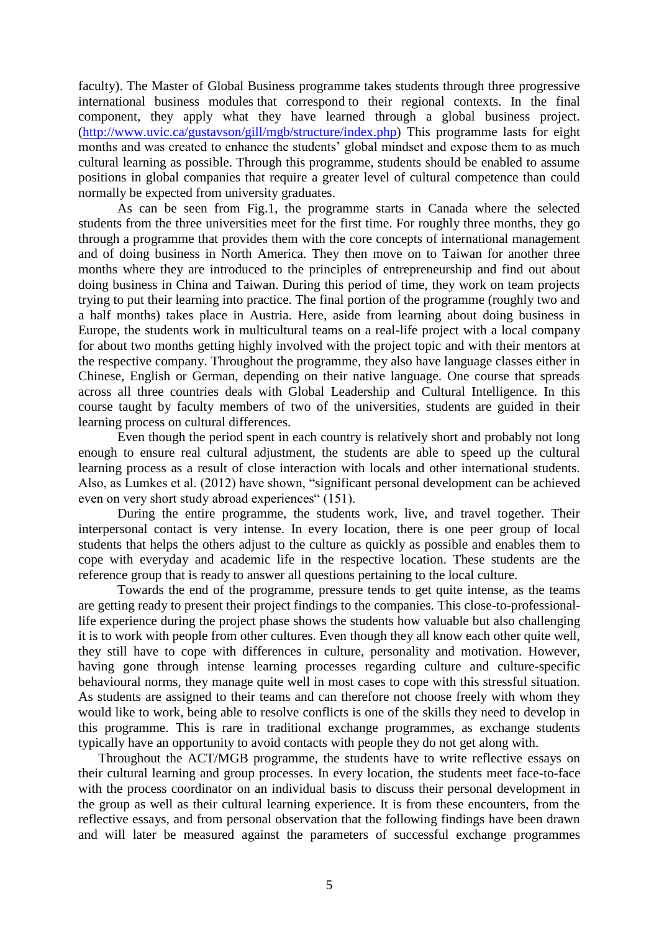faculty). The Master of Global Business programme takes students through three progressive international business modules that correspond to their regional contexts. In the final component, they apply what they have learned through a global business project. [\(http://www.uvic.ca/gustavson/gill/mgb/structure/index.php\)](http://www.uvic.ca/gustavson/gill/mgb/structure/index.php) This programme lasts for eight months and was created to enhance the students' global mindset and expose them to as much cultural learning as possible. Through this programme, students should be enabled to assume positions in global companies that require a greater level of cultural competence than could normally be expected from university graduates.

As can be seen from Fig.1, the programme starts in Canada where the selected students from the three universities meet for the first time. For roughly three months, they go through a programme that provides them with the core concepts of international management and of doing business in North America. They then move on to Taiwan for another three months where they are introduced to the principles of entrepreneurship and find out about doing business in China and Taiwan. During this period of time, they work on team projects trying to put their learning into practice. The final portion of the programme (roughly two and a half months) takes place in Austria. Here, aside from learning about doing business in Europe, the students work in multicultural teams on a real-life project with a local company for about two months getting highly involved with the project topic and with their mentors at the respective company. Throughout the programme, they also have language classes either in Chinese, English or German, depending on their native language. One course that spreads across all three countries deals with Global Leadership and Cultural Intelligence. In this course taught by faculty members of two of the universities, students are guided in their learning process on cultural differences.

Even though the period spent in each country is relatively short and probably not long enough to ensure real cultural adjustment, the students are able to speed up the cultural learning process as a result of close interaction with locals and other international students. Also, as Lumkes et al. (2012) have shown, "significant personal development can be achieved even on very short study abroad experiences" (151).

During the entire programme, the students work, live, and travel together. Their interpersonal contact is very intense. In every location, there is one peer group of local students that helps the others adjust to the culture as quickly as possible and enables them to cope with everyday and academic life in the respective location. These students are the reference group that is ready to answer all questions pertaining to the local culture.

Towards the end of the programme, pressure tends to get quite intense, as the teams are getting ready to present their project findings to the companies. This close-to-professionallife experience during the project phase shows the students how valuable but also challenging it is to work with people from other cultures. Even though they all know each other quite well, they still have to cope with differences in culture, personality and motivation. However, having gone through intense learning processes regarding culture and culture-specific behavioural norms, they manage quite well in most cases to cope with this stressful situation. As students are assigned to their teams and can therefore not choose freely with whom they would like to work, being able to resolve conflicts is one of the skills they need to develop in this programme. This is rare in traditional exchange programmes, as exchange students typically have an opportunity to avoid contacts with people they do not get along with.

Throughout the ACT/MGB programme, the students have to write reflective essays on their cultural learning and group processes. In every location, the students meet face-to-face with the process coordinator on an individual basis to discuss their personal development in the group as well as their cultural learning experience. It is from these encounters, from the reflective essays, and from personal observation that the following findings have been drawn and will later be measured against the parameters of successful exchange programmes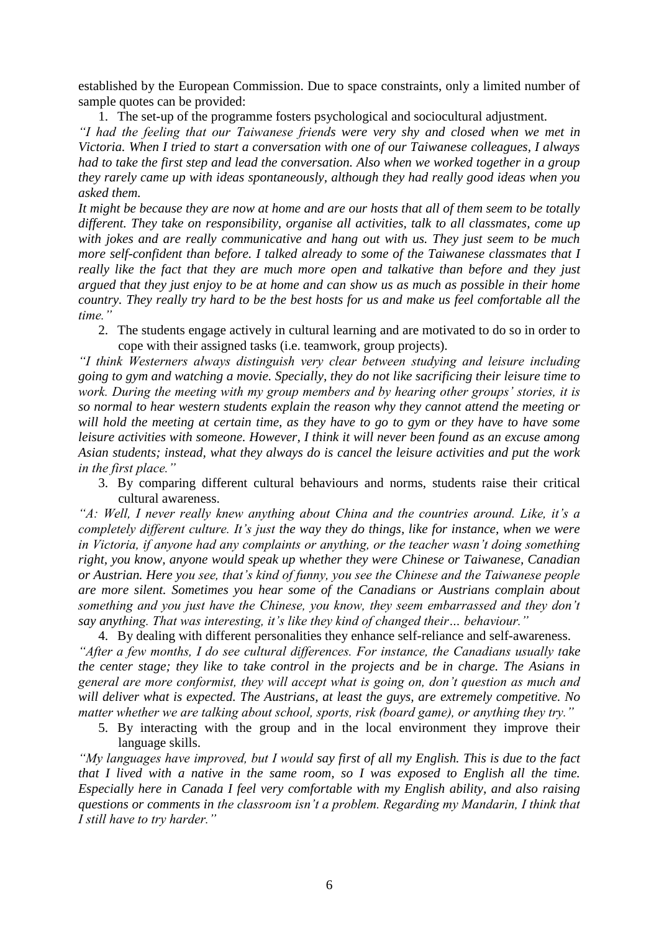established by the European Commission. Due to space constraints, only a limited number of sample quotes can be provided:

1. The set-up of the programme fosters psychological and sociocultural adjustment. *"I had the feeling that our Taiwanese friends were very shy and closed when we met in Victoria. When I tried to start a conversation with one of our Taiwanese colleagues, I always had to take the first step and lead the conversation. Also when we worked together in a group they rarely came up with ideas spontaneously, although they had really good ideas when you* 

*asked them.* 

*It might be because they are now at home and are our hosts that all of them seem to be totally different. They take on responsibility, organise all activities, talk to all classmates, come up with jokes and are really communicative and hang out with us. They just seem to be much more self-confident than before. I talked already to some of the Taiwanese classmates that I really like the fact that they are much more open and talkative than before and they just argued that they just enjoy to be at home and can show us as much as possible in their home country. They really try hard to be the best hosts for us and make us feel comfortable all the time."*

2. The students engage actively in cultural learning and are motivated to do so in order to cope with their assigned tasks (i.e. teamwork, group projects).

*"I think Westerners always distinguish very clear between studying and leisure including going to gym and watching a movie. Specially, they do not like sacrificing their leisure time to work. During the meeting with my group members and by hearing other groups' stories, it is so normal to hear western students explain the reason why they cannot attend the meeting or will hold the meeting at certain time, as they have to go to gym or they have to have some leisure activities with someone. However, I think it will never been found as an excuse among Asian students; instead, what they always do is cancel the leisure activities and put the work in the first place."*

3. By comparing different cultural behaviours and norms, students raise their critical cultural awareness.

*"A: Well, I never really knew anything about China and the countries around. Like, it's a completely different culture. It's just the way they do things, like for instance, when we were in Victoria, if anyone had any complaints or anything, or the teacher wasn't doing something right, you know, anyone would speak up whether they were Chinese or Taiwanese, Canadian or Austrian. Here you see, that's kind of funny, you see the Chinese and the Taiwanese people are more silent. Sometimes you hear some of the Canadians or Austrians complain about something and you just have the Chinese, you know, they seem embarrassed and they don't say anything. That was interesting, it's like they kind of changed their… behaviour."* 

4. By dealing with different personalities they enhance self-reliance and self-awareness. *"After a few months, I do see cultural differences. For instance, the Canadians usually take the center stage; they like to take control in the projects and be in charge. The Asians in general are more conformist, they will accept what is going on, don't question as much and will deliver what is expected. The Austrians, at least the guys, are extremely competitive. No matter whether we are talking about school, sports, risk (board game), or anything they try."*

5. By interacting with the group and in the local environment they improve their language skills.

*"My languages have improved, but I would say first of all my English. This is due to the fact that I lived with a native in the same room, so I was exposed to English all the time. Especially here in Canada I feel very comfortable with my English ability, and also raising questions or comments in the classroom isn't a problem. Regarding my Mandarin, I think that I still have to try harder."*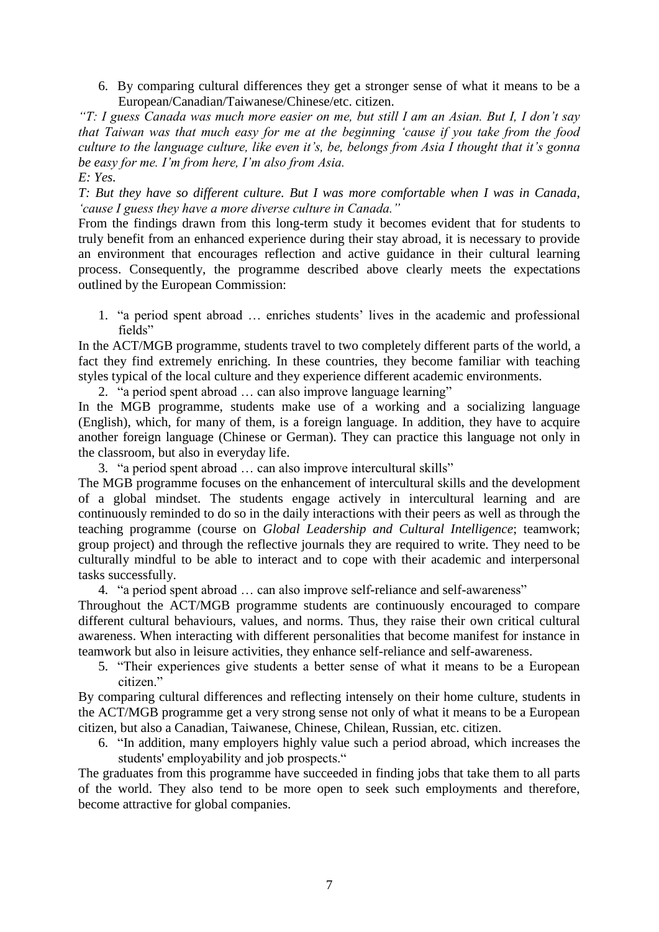6. By comparing cultural differences they get a stronger sense of what it means to be a European/Canadian/Taiwanese/Chinese/etc. citizen.

*"T: I guess Canada was much more easier on me, but still I am an Asian. But I, I don't say that Taiwan was that much easy for me at the beginning 'cause if you take from the food culture to the language culture, like even it's, be, belongs from Asia I thought that it's gonna be easy for me. I'm from here, I'm also from Asia. E: Yes.* 

*T: But they have so different culture. But I was more comfortable when I was in Canada, 'cause I guess they have a more diverse culture in Canada."*

From the findings drawn from this long-term study it becomes evident that for students to truly benefit from an enhanced experience during their stay abroad, it is necessary to provide an environment that encourages reflection and active guidance in their cultural learning process. Consequently, the programme described above clearly meets the expectations outlined by the European Commission:

1. "a period spent abroad … enriches students' lives in the academic and professional fields"

In the ACT/MGB programme, students travel to two completely different parts of the world, a fact they find extremely enriching. In these countries, they become familiar with teaching styles typical of the local culture and they experience different academic environments.

2. "a period spent abroad … can also improve language learning"

In the MGB programme, students make use of a working and a socializing language (English), which, for many of them, is a foreign language. In addition, they have to acquire another foreign language (Chinese or German). They can practice this language not only in the classroom, but also in everyday life.

3. "a period spent abroad … can also improve intercultural skills"

The MGB programme focuses on the enhancement of intercultural skills and the development of a global mindset. The students engage actively in intercultural learning and are continuously reminded to do so in the daily interactions with their peers as well as through the teaching programme (course on *Global Leadership and Cultural Intelligence*; teamwork; group project) and through the reflective journals they are required to write. They need to be culturally mindful to be able to interact and to cope with their academic and interpersonal tasks successfully.

4. "a period spent abroad … can also improve self-reliance and self-awareness"

Throughout the ACT/MGB programme students are continuously encouraged to compare different cultural behaviours, values, and norms. Thus, they raise their own critical cultural awareness. When interacting with different personalities that become manifest for instance in teamwork but also in leisure activities, they enhance self-reliance and self-awareness.

5. "Their experiences give students a better sense of what it means to be a European citizen."

By comparing cultural differences and reflecting intensely on their home culture, students in the ACT/MGB programme get a very strong sense not only of what it means to be a European citizen, but also a Canadian, Taiwanese, Chinese, Chilean, Russian, etc. citizen.

6. "In addition, many employers highly value such a period abroad, which increases the students' employability and job prospects."

The graduates from this programme have succeeded in finding jobs that take them to all parts of the world. They also tend to be more open to seek such employments and therefore, become attractive for global companies.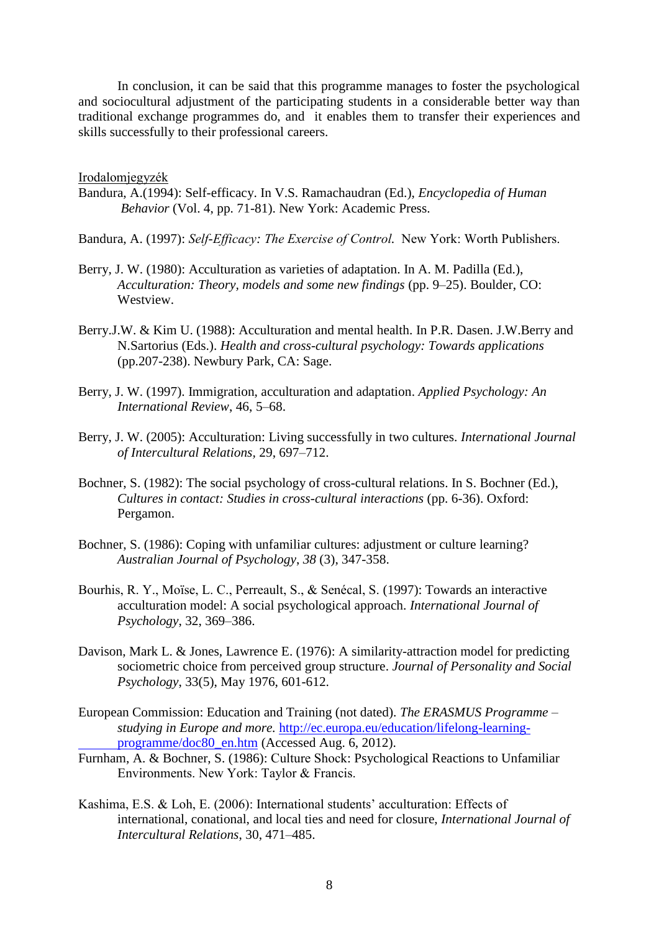In conclusion, it can be said that this programme manages to foster the psychological and sociocultural adjustment of the participating students in a considerable better way than traditional exchange programmes do, and it enables them to transfer their experiences and skills successfully to their professional careers.

Irodalomjegyzék

- Bandura, A.(1994): Self-efficacy. In V.S. Ramachaudran (Ed.), *Encyclopedia of Human Behavior* (Vol. 4, pp. 71-81). New York: Academic Press.
- Bandura, A. (1997): *Self-Efficacy: The Exercise of Control.* New York: Worth Publishers.
- Berry, J. W. (1980): Acculturation as varieties of adaptation. In A. M. Padilla (Ed.), *Acculturation: Theory, models and some new findings* (pp. 9–25). Boulder, CO: Westview.
- Berry.J.W. & Kim U. (1988): Acculturation and mental health. In P.R. Dasen. J.W.Berry and N.Sartorius (Eds.). *Health and cross-cultural psychology: Towards applications*  (pp.207-238). Newbury Park, CA: Sage.
- Berry, J. W. (1997). Immigration, acculturation and adaptation. *Applied Psychology: An International Review*, 46, 5–68.
- Berry, J. W. (2005): Acculturation: Living successfully in two cultures. *International Journal of Intercultural Relations,* 29, 697–712.
- Bochner, S. (1982): The social psychology of cross-cultural relations. In S. Bochner (Ed.), *Cultures in contact: Studies in cross-cultural interactions* (pp. 6-36). Oxford: Pergamon.
- Bochner, S. (1986): Coping with unfamiliar cultures: adjustment or culture learning? *Australian Journal of Psychology*, *38* (3), 347-358.
- Bourhis, R. Y., Moïse, L. C., Perreault, S., & Senécal, S. (1997): Towards an interactive acculturation model: A social psychological approach. *International Journal of Psychology*, 32, 369–386.
- Davison, Mark L. & Jones, Lawrence E. (1976): A similarity-attraction model for predicting sociometric choice from perceived group structure. *Journal of Personality and Social Psychology*, 33(5), May 1976, 601-612.
- European Commission: Education and Training (not dated). *The ERASMUS Programme – studying in Europe and more.* [http://ec.europa.eu/education/lifelong-learning](http://ec.europa.eu/education/lifelong-learning-programme/doc80_en.htm)[programme/doc80\\_en.htm](http://ec.europa.eu/education/lifelong-learning-programme/doc80_en.htm) (Accessed Aug. 6, 2012).
- Furnham, A. & Bochner, S. (1986): Culture Shock: Psychological Reactions to Unfamiliar Environments. New York: Taylor  $&$  Francis.
- Kashima, E.S. & Loh, E. (2006): International students' acculturation: Effects of international, conational, and local ties and need for closure, *International Journal of Intercultural Relations*, 30, 471–485.